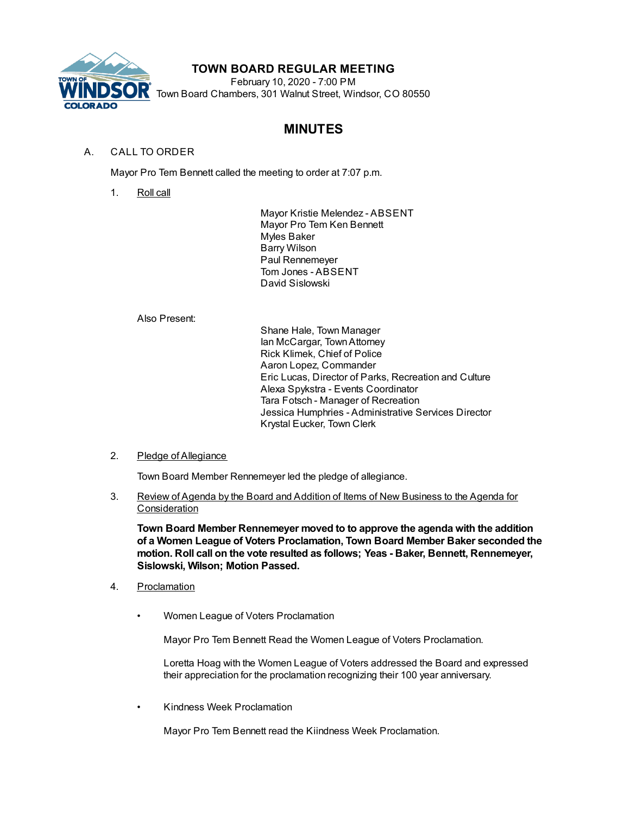

# **TOWN BOARD REGULAR MEETING**

February 10, 2020 - 7:00 PM Town Board Chambers, 301 Walnut Street, Windsor, CO 80550

# **MINUTES**

# A. CALL TO ORDER

Mayor Pro Tem Bennett called the meeting to order at 7:07 p.m.

1. Roll call

Mayor Kristie Melendez - ABSENT Mayor Pro Tem Ken Bennett Myles Baker Barry Wilson Paul Rennemeyer Tom Jones - ABSENT David Sislowski

Also Present:

Shane Hale, Town Manager Ian McCargar, TownAttorney Rick Klimek, Chief of Police Aaron Lopez, Commander Eric Lucas, Director of Parks, Recreation and Culture Alexa Spykstra - Events Coordinator Tara Fotsch - Manager of Recreation Jessica Humphries - Administrative Services Director Krystal Eucker, Town Clerk

### 2. Pledge of Allegiance

Town Board Member Rennemeyer led the pledge of allegiance.

3. Review of Agenda by the Board and Addition of Items of New Business to the Agenda for Consideration

**Town Board Member Rennemeyer moved to to approve the agenda with the addition of a Women League of Voters Proclamation, Town Board Member Baker seconded the motion. Roll call on the vote resulted as follows; Yeas - Baker, Bennett, Rennemeyer, Sislowski, Wilson; Motion Passed.**

- 4. Proclamation
	- Women League of Voters Proclamation

Mayor Pro Tem Bennett Read the Women League of Voters Proclamation.

Loretta Hoag with the Women League of Voters addressed the Board and expressed their appreciation for the proclamation recognizing their 100 year anniversary.

• Kindness Week Proclamation

Mayor Pro Tem Bennett read the Kiindness Week Proclamation.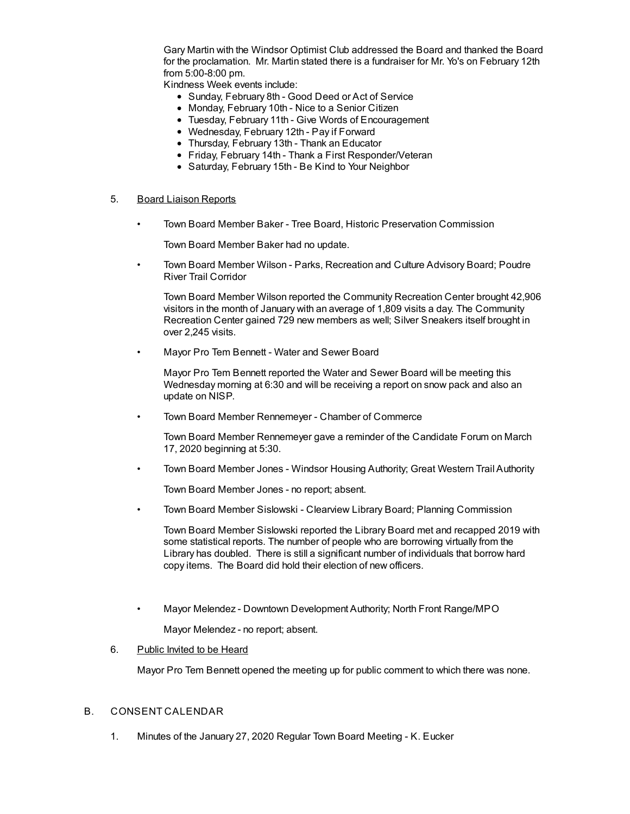Gary Martin with the Windsor Optimist Club addressed the Board and thanked the Board for the proclamation. Mr. Martin stated there is a fundraiser for Mr. Yo's on February 12th from 5:00-8:00 pm.

Kindness Week events include:

- Sunday, February 8th Good Deed or Act of Service
- Monday, February 10th Nice to a Senior Citizen
- Tuesday, February 11th Give Words of Encouragement
- Wednesday, February 12th Pay if Forward
- Thursday, February 13th Thank an Educator
- Friday, February 14th Thank a First Responder/Veteran
- Saturday, February 15th Be Kind to Your Neighbor

#### 5. Board Liaison Reports

• Town Board Member Baker - Tree Board, Historic Preservation Commission

Town Board Member Baker had no update.

• Town Board Member Wilson - Parks, Recreation and Culture Advisory Board; Poudre River Trail Corridor

Town Board Member Wilson reported the Community Recreation Center brought 42,906 visitors in the month of January with an average of 1,809 visits a day. The Community Recreation Center gained 729 new members as well; Silver Sneakers itself brought in over 2,245 visits.

• Mayor Pro Tem Bennett - Water and Sewer Board

Mayor Pro Tem Bennett reported the Water and Sewer Board will be meeting this Wednesday morning at 6:30 and will be receiving a report on snow pack and also an update on NISP.

• Town Board Member Rennemeyer - Chamber of Commerce

Town Board Member Rennemeyer gave a reminder of the Candidate Forum on March 17, 2020 beginning at 5:30.

• Town Board Member Jones - Windsor Housing Authority; Great Western Trail Authority

Town Board Member Jones - no report; absent.

• Town Board Member Sislowski - Clearview Library Board; Planning Commission

Town Board Member Sislowski reported the Library Board met and recapped 2019 with some statistical reports. The number of people who are borrowing virtually from the Library has doubled. There is still a significant number of individuals that borrow hard copy items. The Board did hold their election of new officers.

• Mayor Melendez - Downtown Development Authority; North Front Range/MPO

Mayor Melendez - no report; absent.

#### 6. Public Invited to be Heard

Mayor Pro Tem Bennett opened the meeting up for public comment to which there was none.

#### B. CONSENT CALENDAR

1. Minutes of the January 27, 2020 Regular Town Board Meeting - K. Eucker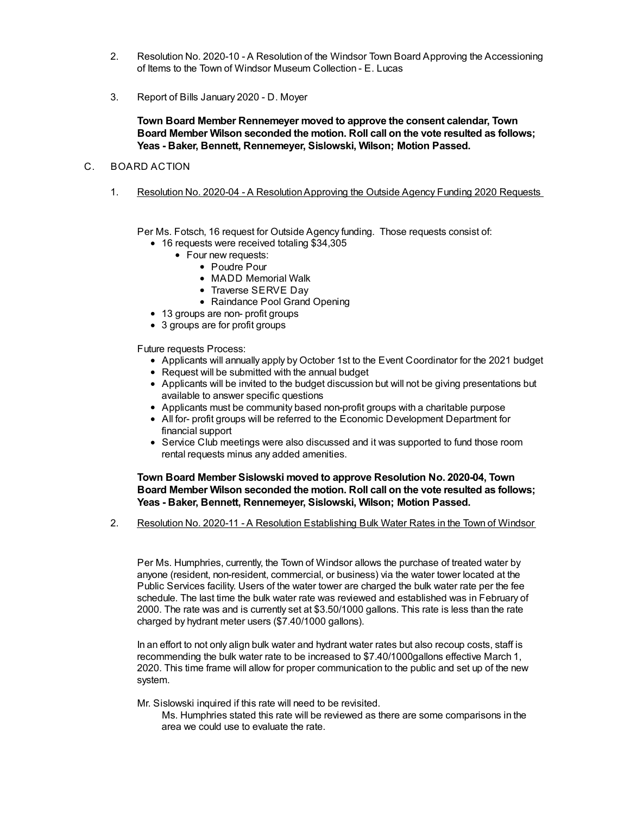- 2. Resolution No. 2020-10 A Resolution of the Windsor Town Board Approving the Accessioning of Items to the Town of Windsor Museum Collection - E. Lucas
- 3. Report of Bills January 2020 D. Moyer

**Town Board Member Rennemeyer moved to approve the consent calendar, Town Board Member Wilson seconded the motion. Roll call on the vote resulted as follows; Yeas - Baker, Bennett, Rennemeyer, Sislowski, Wilson; Motion Passed.**

## C. BOARD ACTION

1. Resolution No. 2020-04 - A ResolutionApproving the Outside Agency Funding 2020 Requests

Per Ms. Fotsch, 16 request for Outside Agency funding. Those requests consist of:

- 16 requests were received totaling \$34,305
	- Four new requests:
		- Poudre Pour
		- MADD Memorial Walk
		- Traverse SERVE Dav
		- Raindance Pool Grand Opening
- 13 groups are non- profit groups
- 3 groups are for profit groups

Future requests Process:

- Applicants will annually apply by October 1st to the Event Coordinator for the 2021 budget
- Request will be submitted with the annual budget
- Applicants will be invited to the budget discussion but will not be giving presentations but available to answer specific questions
- Applicants must be community based non-profit groups with a charitable purpose
- All for- profit groups will be referred to the Economic Development Department for financial support
- Service Club meetings were also discussed and it was supported to fund those room rental requests minus any added amenities.

**Town Board Member Sislowski moved to approve Resolution No. 2020-04, Town Board Member Wilson seconded the motion. Roll call on the vote resulted as follows; Yeas - Baker, Bennett, Rennemeyer, Sislowski, Wilson; Motion Passed.**

2. Resolution No. 2020-11 - A Resolution Establishing Bulk Water Rates in the Town of Windsor

Per Ms. Humphries, currently, the Town of Windsor allows the purchase of treated water by anyone (resident, non-resident, commercial, or business) via the water tower located at the Public Services facility. Users of the water tower are charged the bulk water rate per the fee schedule. The last time the bulk water rate was reviewed and established was in February of 2000. The rate was and is currently set at \$3.50/1000 gallons. This rate is less than the rate charged by hydrant meter users (\$7.40/1000 gallons).

In an effort to not only align bulk water and hydrant water rates but also recoup costs, staff is recommending the bulk water rate to be increased to \$7.40/1000gallons effective March 1, 2020. This time frame will allow for proper communication to the public and set up of the new system.

Mr. Sislowski inquired if this rate will need to be revisited.

Ms. Humphries stated this rate will be reviewed as there are some comparisons in the area we could use to evaluate the rate.